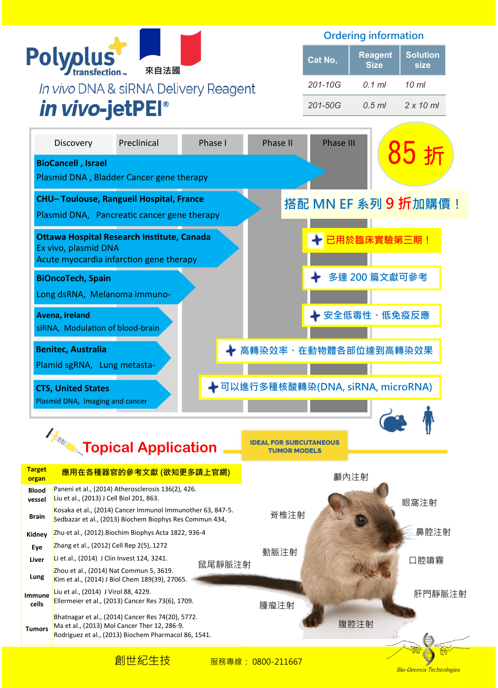

Ordering information

| Cat No,     | <b>Reagent</b><br><b>Size</b> | <b>Solution</b><br>size |
|-------------|-------------------------------|-------------------------|
| 201-10G     | $0.1$ ml                      | 10 ml                   |
| $201 - 50G$ | $0.5$ ml                      | $2 \times 10$ ml        |